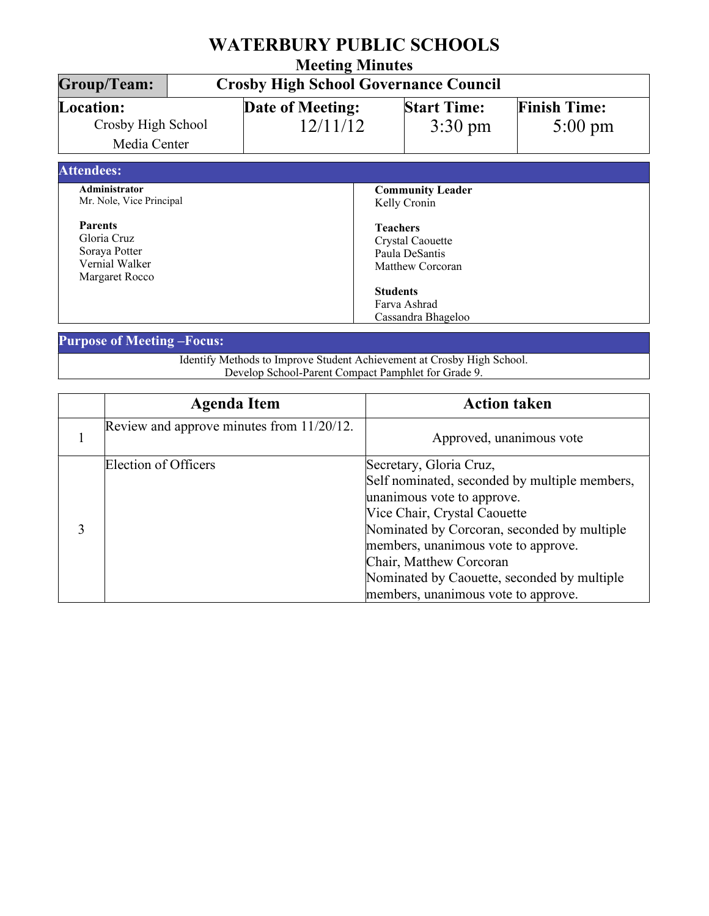| <b>WATERBURY PUBLIC SCHOOLS</b><br><b>Meeting Minutes</b><br><b>Group/Team:</b><br><b>Crosby High School Governance Council</b> |  |  |                                                                                  |  |  |
|---------------------------------------------------------------------------------------------------------------------------------|--|--|----------------------------------------------------------------------------------|--|--|
|                                                                                                                                 |  |  |                                                                                  |  |  |
| <b>Attendees:</b>                                                                                                               |  |  |                                                                                  |  |  |
| Administrator<br>Mr. Nole, Vice Principal                                                                                       |  |  | <b>Community Leader</b><br>Kelly Cronin                                          |  |  |
| <b>Parents</b><br>Gloria Cruz<br>Soraya Potter<br>Vernial Walker<br>Margaret Rocco                                              |  |  | <b>Teachers</b><br><b>Crystal Caouette</b><br>Paula DeSantis<br>Matthew Corcoran |  |  |
|                                                                                                                                 |  |  | <b>Students</b><br>Farva Ashrad<br>Cassandra Bhageloo                            |  |  |

## **Purpose of Meeting –Focus:**

Identify Methods to Improve Student Achievement at Crosby High School. Develop School-Parent Compact Pamphlet for Grade 9.

| <b>Agenda Item</b>                        | <b>Action taken</b>                                                                                                                                                                                                                                                                                                                           |
|-------------------------------------------|-----------------------------------------------------------------------------------------------------------------------------------------------------------------------------------------------------------------------------------------------------------------------------------------------------------------------------------------------|
| Review and approve minutes from 11/20/12. | Approved, unanimous vote                                                                                                                                                                                                                                                                                                                      |
| Election of Officers                      | Secretary, Gloria Cruz,<br>Self nominated, seconded by multiple members,<br>unanimous vote to approve.<br>Vice Chair, Crystal Caouette<br>Nominated by Corcoran, seconded by multiple<br>members, unanimous vote to approve.<br>Chair, Matthew Corcoran<br>Nominated by Caouette, seconded by multiple<br>members, unanimous vote to approve. |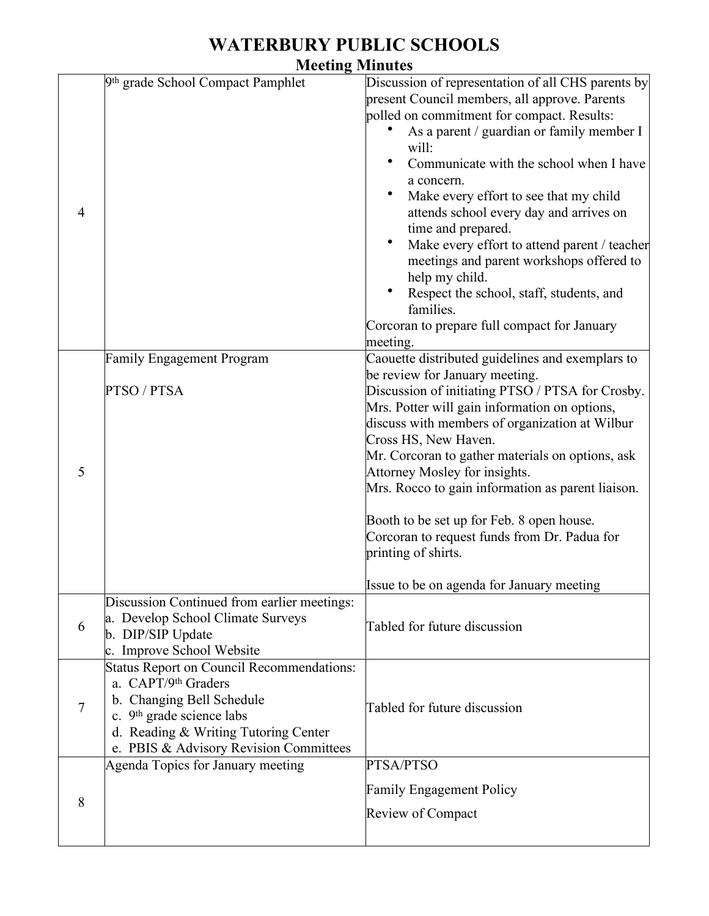## **WATERBURY PUBLIC SCHOOLS**

**Meeting Minutes**

| $\overline{4}$ | 9th grade School Compact Pamphlet                                                                                                                                                                                               | Discussion of representation of all CHS parents by<br>present Council members, all approve. Parents<br>polled on commitment for compact. Results:<br>As a parent / guardian or family member I<br>will:<br>Communicate with the school when I have<br>a concern.<br>Make every effort to see that my child<br>attends school every day and arrives on<br>time and prepared.<br>Make every effort to attend parent / teacher<br>meetings and parent workshops offered to<br>help my child.<br>Respect the school, staff, students, and<br>families.<br>Corcoran to prepare full compact for January<br>meeting. |
|----------------|---------------------------------------------------------------------------------------------------------------------------------------------------------------------------------------------------------------------------------|----------------------------------------------------------------------------------------------------------------------------------------------------------------------------------------------------------------------------------------------------------------------------------------------------------------------------------------------------------------------------------------------------------------------------------------------------------------------------------------------------------------------------------------------------------------------------------------------------------------|
|                | Family Engagement Program                                                                                                                                                                                                       | Caouette distributed guidelines and exemplars to<br>be review for January meeting.                                                                                                                                                                                                                                                                                                                                                                                                                                                                                                                             |
| 5              | PTSO / PTSA                                                                                                                                                                                                                     | Discussion of initiating PTSO / PTSA for Crosby.<br>Mrs. Potter will gain information on options,<br>discuss with members of organization at Wilbur<br>Cross HS, New Haven.<br>Mr. Corcoran to gather materials on options, ask<br>Attorney Mosley for insights.                                                                                                                                                                                                                                                                                                                                               |
|                |                                                                                                                                                                                                                                 | Mrs. Rocco to gain information as parent liaison.<br>Booth to be set up for Feb. 8 open house.<br>Corcoran to request funds from Dr. Padua for<br>printing of shirts.<br>Issue to be on agenda for January meeting                                                                                                                                                                                                                                                                                                                                                                                             |
| 6              | Discussion Continued from earlier meetings:<br>a. Develop School Climate Surveys<br>b. DIP/SIP Update<br>c. Improve School Website                                                                                              | Tabled for future discussion                                                                                                                                                                                                                                                                                                                                                                                                                                                                                                                                                                                   |
| $\overline{7}$ | <b>Status Report on Council Recommendations:</b><br>a. CAPT/9th Graders<br>b. Changing Bell Schedule<br>c. 9 <sup>th</sup> grade science labs<br>d. Reading & Writing Tutoring Center<br>e. PBIS & Advisory Revision Committees | Tabled for future discussion                                                                                                                                                                                                                                                                                                                                                                                                                                                                                                                                                                                   |
| 8              | Agenda Topics for January meeting                                                                                                                                                                                               | PTSA/PTSO<br><b>Family Engagement Policy</b><br>Review of Compact                                                                                                                                                                                                                                                                                                                                                                                                                                                                                                                                              |